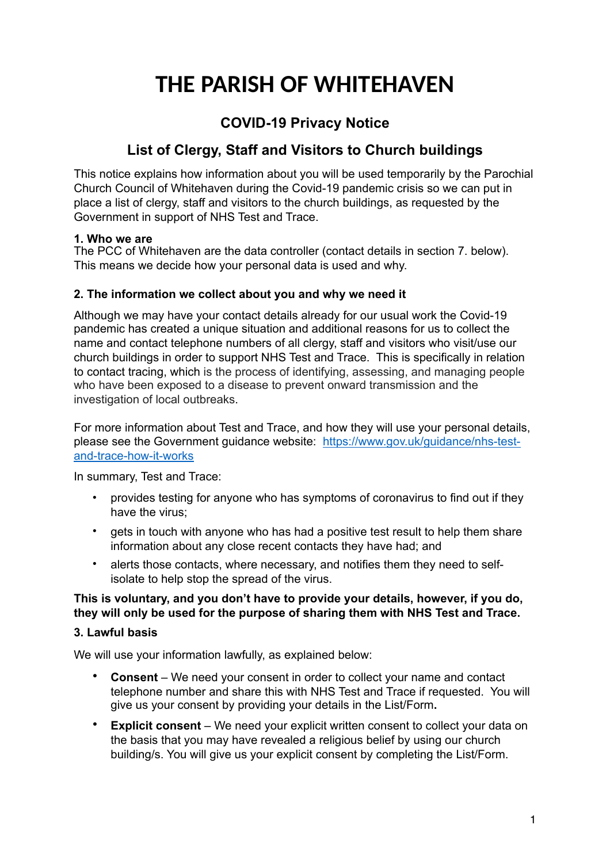# **THE PARISH OF WHITEHAVEN**

## **COVID-19 Privacy Notice**

## **List of Clergy, Staff and Visitors to Church buildings**

This notice explains how information about you will be used temporarily by the Parochial Church Council of Whitehaven during the Covid-19 pandemic crisis so we can put in place a list of clergy, staff and visitors to the church buildings, as requested by the Government in support of NHS Test and Trace.

#### **1. Who we are**

The PCC of Whitehaven are the data controller (contact details in section 7. below). This means we decide how your personal data is used and why.

#### **2. The information we collect about you and why we need it**

Although we may have your contact details already for our usual work the Covid-19 pandemic has created a unique situation and additional reasons for us to collect the name and contact telephone numbers of all clergy, staff and visitors who visit/use our church buildings in order to support NHS Test and Trace. This is specifically in relation to contact tracing, which is the process of identifying, assessing, and managing people who have been exposed to a disease to prevent onward transmission and the investigation of local outbreaks.

For more information about Test and Trace, and how they will use your personal details, please see the Government guidance website: [https://www.gov.uk/guidance/nhs-test](https://www.gov.uk/guidance/nhs-test-and-trace-how-it-works)[and-trace-how-it-works](https://www.gov.uk/guidance/nhs-test-and-trace-how-it-works)

In summary, Test and Trace:

- provides testing for anyone who has symptoms of coronavirus to find out if they have the virus;
- gets in touch with anyone who has had a positive test result to help them share information about any close recent contacts they have had; and
- alerts those contacts, where necessary, and notifies them they need to selfisolate to help stop the spread of the virus.

### **This is voluntary, and you don't have to provide your details, however, if you do, they will only be used for the purpose of sharing them with NHS Test and Trace.**

#### **3. Lawful basis**

We will use your information lawfully, as explained below:

- **Consent**  We need your consent in order to collect your name and contact telephone number and share this with NHS Test and Trace if requested. You will give us your consent by providing your details in the List/Form**.**
- **Explicit consent** We need your explicit written consent to collect your data on the basis that you may have revealed a religious belief by using our church building/s. You will give us your explicit consent by completing the List/Form.